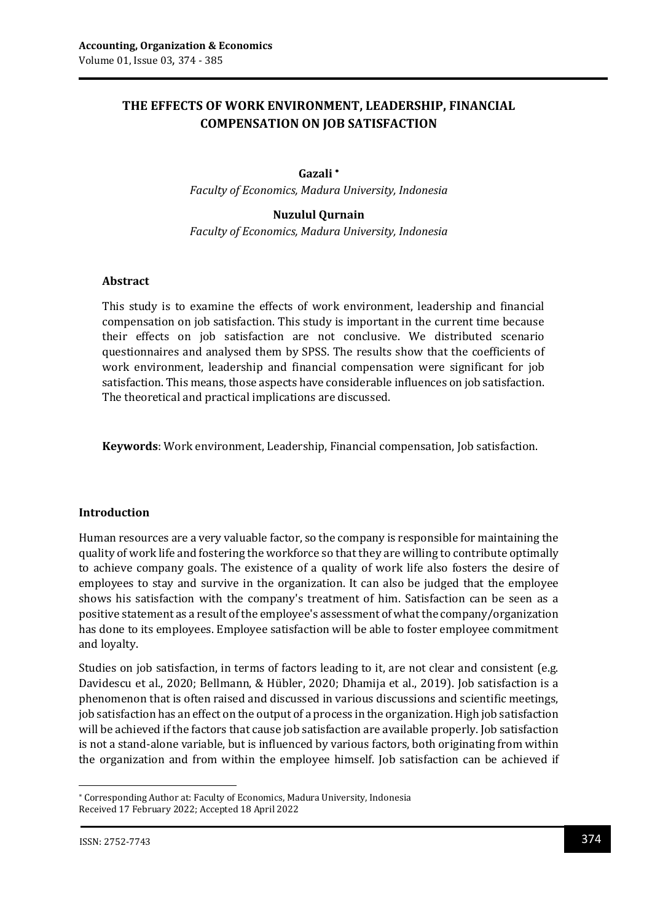# **THE EFFECTS OF WORK ENVIRONMENT, LEADERSHIP, FINANCIAL COMPENSATION ON JOB SATISFACTION**

#### **Gazali**

*Faculty of Economics, Madura University, Indonesia*

### **Nuzulul Qurnain**

*Faculty of Economics, Madura University, Indonesia*

### **Abstract**

This study is to examine the effects of work environment, leadership and financial compensation on job satisfaction. This study is important in the current time because their effects on job satisfaction are not conclusive. We distributed scenario questionnaires and analysed them by SPSS. The results show that the coefficients of work environment, leadership and financial compensation were significant for job satisfaction. This means, those aspects have considerable influences on job satisfaction. The theoretical and practical implications are discussed.

**Keywords**: Work environment, Leadership, Financial compensation, Job satisfaction.

### **Introduction**

Human resources are a very valuable factor, so the company is responsible for maintaining the quality of work life and fostering the workforce so that they are willing to contribute optimally to achieve company goals. The existence of a quality of work life also fosters the desire of employees to stay and survive in the organization. It can also be judged that the employee shows his satisfaction with the company's treatment of him. Satisfaction can be seen as a positive statement as a result of the employee's assessment of what the company/organization has done to its employees. Employee satisfaction will be able to foster employee commitment and loyalty.

Studies on job satisfaction, in terms of factors leading to it, are not clear and consistent (e.g. Davidescu et al., 2020; Bellmann, & Hübler, 2020; Dhamija et al., 2019). Job satisfaction is a phenomenon that is often raised and discussed in various discussions and scientific meetings, job satisfaction has an effect on the output of a process in the organization. High job satisfaction will be achieved if the factors that cause job satisfaction are available properly. Job satisfaction is not a stand-alone variable, but is influenced by various factors, both originating from within the organization and from within the employee himself. Job satisfaction can be achieved if

 $\overline{a}$ 

Corresponding Author at: Faculty of Economics, Madura University, Indonesia Received 17 February 2022; Accepted 18 April 2022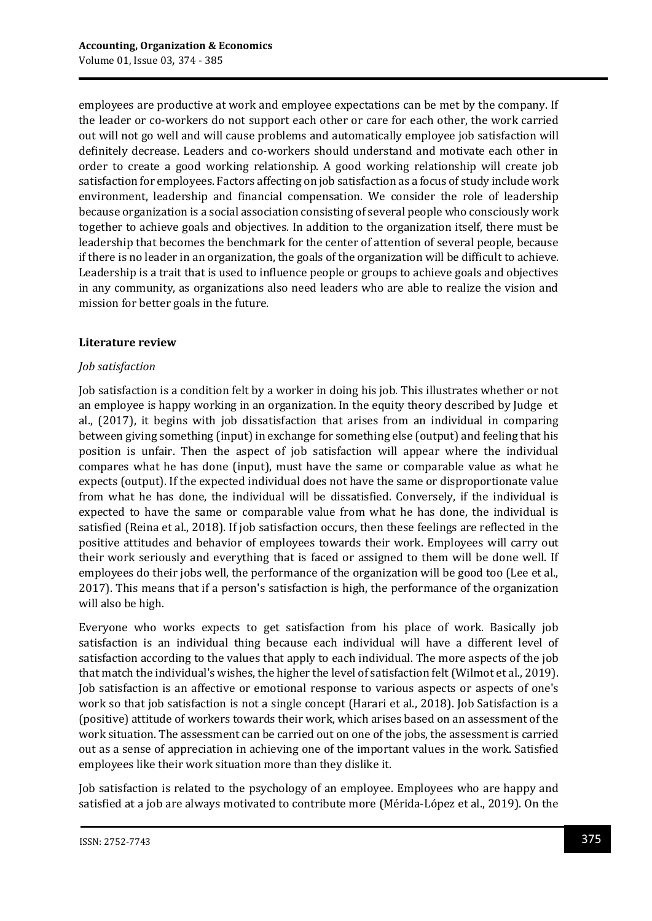employees are productive at work and employee expectations can be met by the company. If the leader or co-workers do not support each other or care for each other, the work carried out will not go well and will cause problems and automatically employee job satisfaction will definitely decrease. Leaders and co-workers should understand and motivate each other in order to create a good working relationship. A good working relationship will create job satisfaction for employees. Factors affecting on job satisfaction as a focus of study include work environment, leadership and financial compensation. We consider the role of leadership because organization is a social association consisting of several people who consciously work together to achieve goals and objectives. In addition to the organization itself, there must be leadership that becomes the benchmark for the center of attention of several people, because if there is no leader in an organization, the goals of the organization will be difficult to achieve. Leadership is a trait that is used to influence people or groups to achieve goals and objectives in any community, as organizations also need leaders who are able to realize the vision and mission for better goals in the future.

### **Literature review**

### *Job satisfaction*

Job satisfaction is a condition felt by a worker in doing his job. This illustrates whether or not an employee is happy working in an organization. In the equity theory described by Judge et al., (2017), it begins with job dissatisfaction that arises from an individual in comparing between giving something (input) in exchange for something else (output) and feeling that his position is unfair. Then the aspect of job satisfaction will appear where the individual compares what he has done (input), must have the same or comparable value as what he expects (output). If the expected individual does not have the same or disproportionate value from what he has done, the individual will be dissatisfied. Conversely, if the individual is expected to have the same or comparable value from what he has done, the individual is satisfied (Reina et al., 2018). If job satisfaction occurs, then these feelings are reflected in the positive attitudes and behavior of employees towards their work. Employees will carry out their work seriously and everything that is faced or assigned to them will be done well. If employees do their jobs well, the performance of the organization will be good too (Lee et al., 2017). This means that if a person's satisfaction is high, the performance of the organization will also be high.

Everyone who works expects to get satisfaction from his place of work. Basically job satisfaction is an individual thing because each individual will have a different level of satisfaction according to the values that apply to each individual. The more aspects of the job that match the individual's wishes, the higher the level of satisfaction felt (Wilmot et al., 2019). Job satisfaction is an affective or emotional response to various aspects or aspects of one's work so that job satisfaction is not a single concept (Harari et al., 2018). Job Satisfaction is a (positive) attitude of workers towards their work, which arises based on an assessment of the work situation. The assessment can be carried out on one of the jobs, the assessment is carried out as a sense of appreciation in achieving one of the important values in the work. Satisfied employees like their work situation more than they dislike it.

Job satisfaction is related to the psychology of an employee. Employees who are happy and satisfied at a job are always motivated to contribute more (Mérida‐López et al., 2019). On the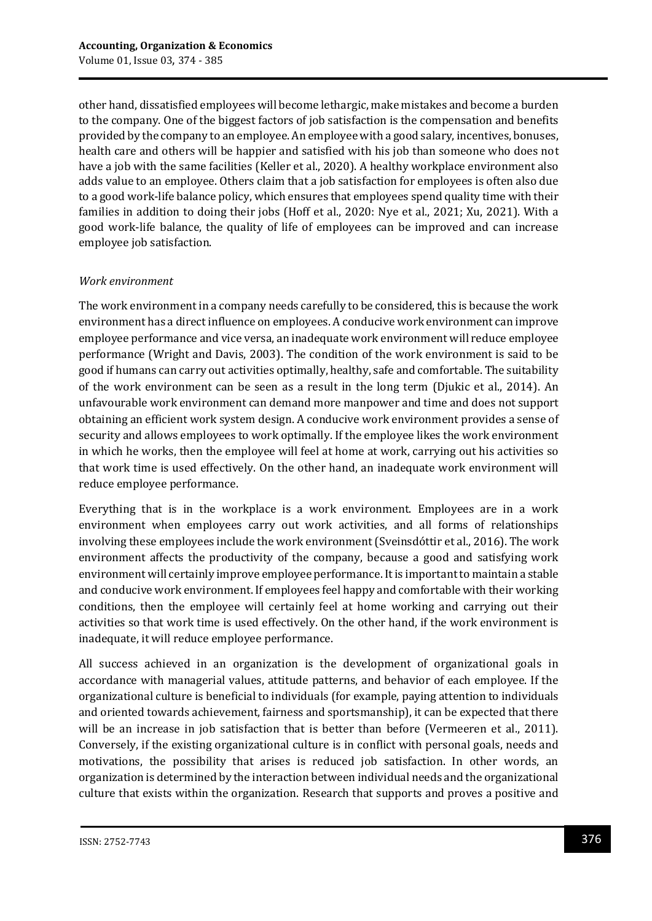other hand, dissatisfied employees will become lethargic, make mistakes and become a burden to the company. One of the biggest factors of job satisfaction is the compensation and benefits provided by the company to an employee. An employee with a good salary, incentives, bonuses, health care and others will be happier and satisfied with his job than someone who does not have a job with the same facilities (Keller et al., 2020). A healthy workplace environment also adds value to an employee. Others claim that a job satisfaction for employees is often also due to a good work-life balance policy, which ensures that employees spend quality time with their families in addition to doing their jobs (Hoff et al., 2020: Nye et al., 2021; Xu, 2021). With a good work-life balance, the quality of life of employees can be improved and can increase employee job satisfaction.

## *Work environment*

The work environment in a company needs carefully to be considered, this is because the work environment has a direct influence on employees. A conducive work environment can improve employee performance and vice versa, an inadequate work environment will reduce employee performance (Wright and Davis, 2003). The condition of the work environment is said to be good if humans can carry out activities optimally, healthy, safe and comfortable. The suitability of the work environment can be seen as a result in the long term (Djukic et al., 2014). An unfavourable work environment can demand more manpower and time and does not support obtaining an efficient work system design. A conducive work environment provides a sense of security and allows employees to work optimally. If the employee likes the work environment in which he works, then the employee will feel at home at work, carrying out his activities so that work time is used effectively. On the other hand, an inadequate work environment will reduce employee performance.

Everything that is in the workplace is a work environment. Employees are in a work environment when employees carry out work activities, and all forms of relationships involving these employees include the work environment (Sveinsdóttir et al., 2016). The work environment affects the productivity of the company, because a good and satisfying work environment will certainly improve employee performance. It is important to maintain a stable and conducive work environment. If employees feel happy and comfortable with their working conditions, then the employee will certainly feel at home working and carrying out their activities so that work time is used effectively. On the other hand, if the work environment is inadequate, it will reduce employee performance.

All success achieved in an organization is the development of organizational goals in accordance with managerial values, attitude patterns, and behavior of each employee. If the organizational culture is beneficial to individuals (for example, paying attention to individuals and oriented towards achievement, fairness and sportsmanship), it can be expected that there will be an increase in job satisfaction that is better than before (Vermeeren et al., 2011). Conversely, if the existing organizational culture is in conflict with personal goals, needs and motivations, the possibility that arises is reduced job satisfaction. In other words, an organization is determined by the interaction between individual needs and the organizational culture that exists within the organization. Research that supports and proves a positive and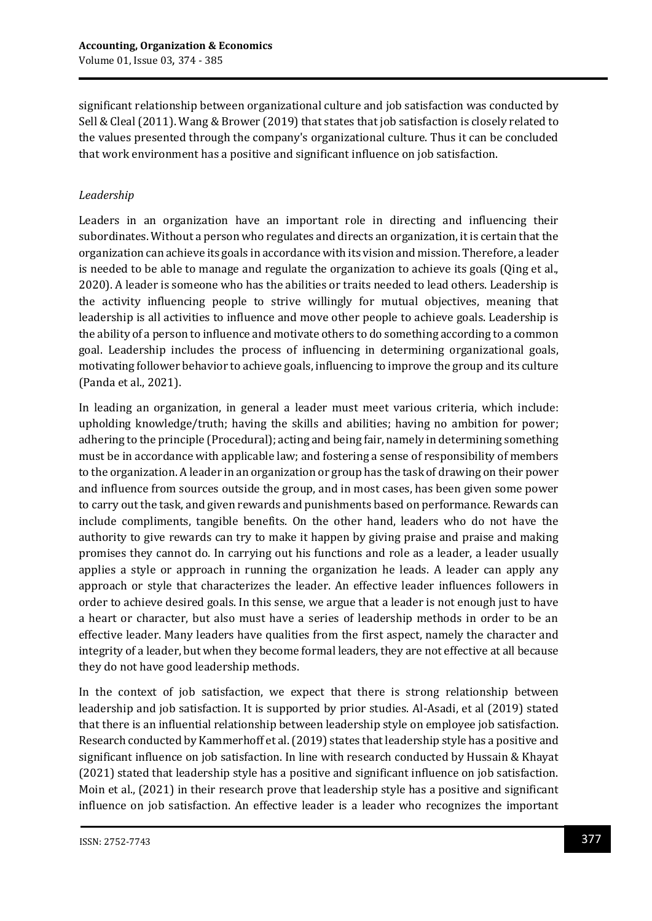significant relationship between organizational culture and job satisfaction was conducted by Sell & Cleal (2011). Wang & Brower (2019) that states that job satisfaction is closely related to the values presented through the company's organizational culture. Thus it can be concluded that work environment has a positive and significant influence on job satisfaction.

# *Leadership*

Leaders in an organization have an important role in directing and influencing their subordinates. Without a person who regulates and directs an organization, it is certain that the organization can achieve its goals in accordance with its vision and mission. Therefore, a leader is needed to be able to manage and regulate the organization to achieve its goals (Qing et al., 2020). A leader is someone who has the abilities or traits needed to lead others. Leadership is the activity influencing people to strive willingly for mutual objectives, meaning that leadership is all activities to influence and move other people to achieve goals. Leadership is the ability of a person to influence and motivate others to do something according to a common goal. Leadership includes the process of influencing in determining organizational goals, motivating follower behavior to achieve goals, influencing to improve the group and its culture (Panda et al., 2021).

In leading an organization, in general a leader must meet various criteria, which include: upholding knowledge/truth; having the skills and abilities; having no ambition for power; adhering to the principle (Procedural); acting and being fair, namely in determining something must be in accordance with applicable law; and fostering a sense of responsibility of members to the organization. A leader in an organization or group has the task of drawing on their power and influence from sources outside the group, and in most cases, has been given some power to carry out the task, and given rewards and punishments based on performance. Rewards can include compliments, tangible benefits. On the other hand, leaders who do not have the authority to give rewards can try to make it happen by giving praise and praise and making promises they cannot do. In carrying out his functions and role as a leader, a leader usually applies a style or approach in running the organization he leads. A leader can apply any approach or style that characterizes the leader. An effective leader influences followers in order to achieve desired goals. In this sense, we argue that a leader is not enough just to have a heart or character, but also must have a series of leadership methods in order to be an effective leader. Many leaders have qualities from the first aspect, namely the character and integrity of a leader, but when they become formal leaders, they are not effective at all because they do not have good leadership methods.

In the context of job satisfaction, we expect that there is strong relationship between leadership and job satisfaction. It is supported by prior studies. Al-Asadi, et al (2019) stated that there is an influential relationship between leadership style on employee job satisfaction. Research conducted by Kammerhoff et al. (2019) states that leadership style has a positive and significant influence on job satisfaction. In line with research conducted by Hussain & Khayat (2021) stated that leadership style has a positive and significant influence on job satisfaction. Moin et al., (2021) in their research prove that leadership style has a positive and significant influence on job satisfaction. An effective leader is a leader who recognizes the important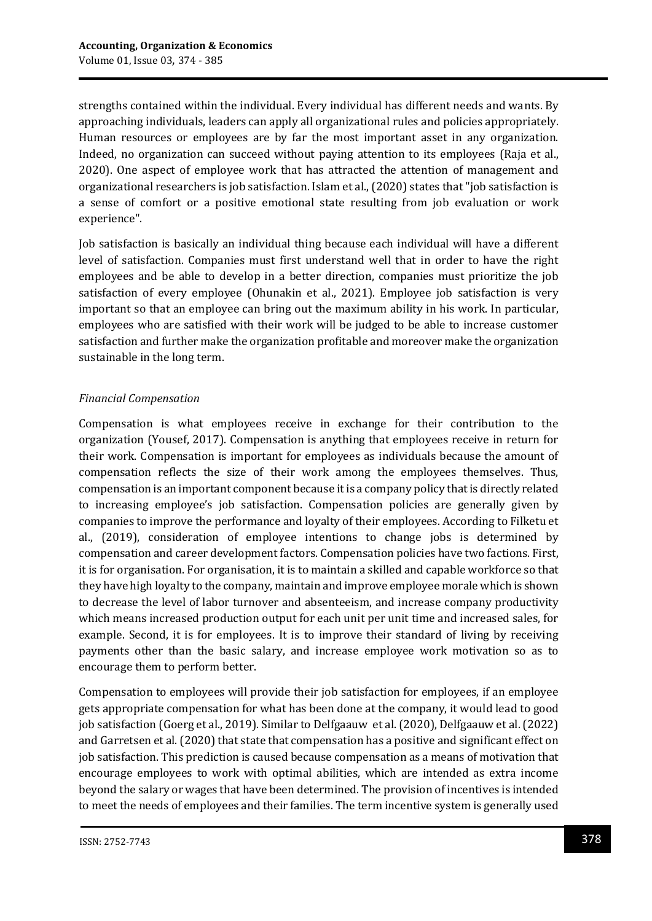strengths contained within the individual. Every individual has different needs and wants. By approaching individuals, leaders can apply all organizational rules and policies appropriately. Human resources or employees are by far the most important asset in any organization. Indeed, no organization can succeed without paying attention to its employees (Raja et al., 2020). One aspect of employee work that has attracted the attention of management and organizational researchers is job satisfaction. Islam et al., (2020) states that "job satisfaction is a sense of comfort or a positive emotional state resulting from job evaluation or work experience".

Job satisfaction is basically an individual thing because each individual will have a different level of satisfaction. Companies must first understand well that in order to have the right employees and be able to develop in a better direction, companies must prioritize the job satisfaction of every employee (Ohunakin et al., 2021). Employee job satisfaction is very important so that an employee can bring out the maximum ability in his work. In particular, employees who are satisfied with their work will be judged to be able to increase customer satisfaction and further make the organization profitable and moreover make the organization sustainable in the long term.

## *Financial Compensation*

Compensation is what employees receive in exchange for their contribution to the organization (Yousef, 2017). Compensation is anything that employees receive in return for their work. Compensation is important for employees as individuals because the amount of compensation reflects the size of their work among the employees themselves. Thus, compensation is an important component because it is a company policy that is directly related to increasing employee's job satisfaction. Compensation policies are generally given by companies to improve the performance and loyalty of their employees. According to Filketu et al., (2019), consideration of employee intentions to change jobs is determined by compensation and career development factors. Compensation policies have two factions. First, it is for organisation. For organisation, it is to maintain a skilled and capable workforce so that they have high loyalty to the company, maintain and improve employee morale which is shown to decrease the level of labor turnover and absenteeism, and increase company productivity which means increased production output for each unit per unit time and increased sales, for example. Second, it is for employees. It is to improve their standard of living by receiving payments other than the basic salary, and increase employee work motivation so as to encourage them to perform better.

Compensation to employees will provide their job satisfaction for employees, if an employee gets appropriate compensation for what has been done at the company, it would lead to good job satisfaction (Goerg et al., 2019). Similar to Delfgaauw et al. (2020), Delfgaauw et al. (2022) and Garretsen et al. (2020) that state that compensation has a positive and significant effect on job satisfaction. This prediction is caused because compensation as a means of motivation that encourage employees to work with optimal abilities, which are intended as extra income beyond the salary or wages that have been determined. The provision of incentives is intended to meet the needs of employees and their families. The term incentive system is generally used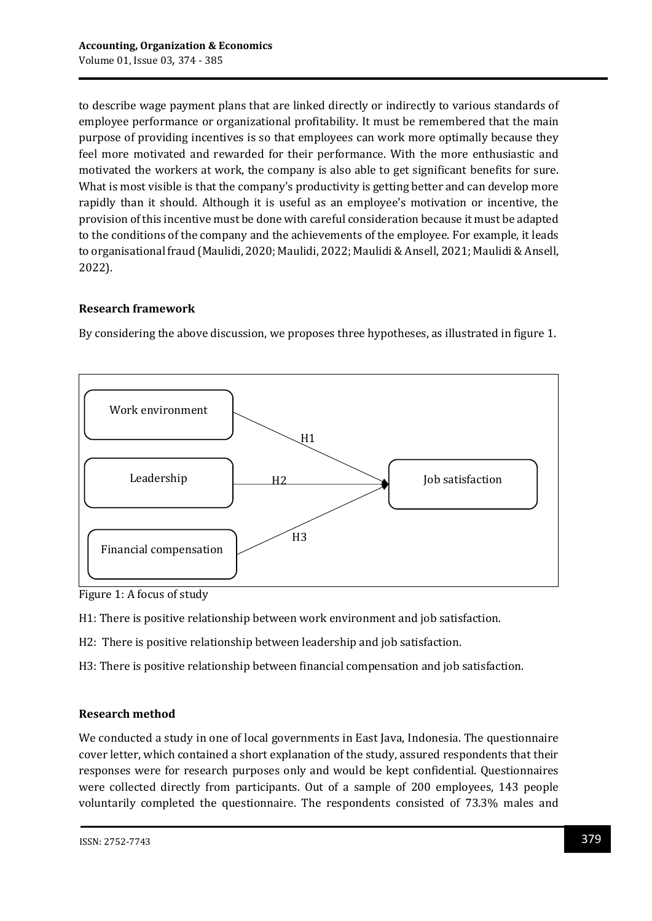to describe wage payment plans that are linked directly or indirectly to various standards of employee performance or organizational profitability. It must be remembered that the main purpose of providing incentives is so that employees can work more optimally because they feel more motivated and rewarded for their performance. With the more enthusiastic and motivated the workers at work, the company is also able to get significant benefits for sure. What is most visible is that the company's productivity is getting better and can develop more rapidly than it should. Although it is useful as an employee's motivation or incentive, the provision of this incentive must be done with careful consideration because it must be adapted to the conditions of the company and the achievements of the employee. For example, it leads to organisational fraud (Maulidi, 2020; Maulidi, 2022; Maulidi & Ansell, 2021; Maulidi & Ansell, 2022).

## **Research framework**

By considering the above discussion, we proposes three hypotheses, as illustrated in figure 1.



Figure 1: A focus of study

H1: There is positive relationship between work environment and job satisfaction.

H2: There is positive relationship between leadership and job satisfaction.

H3: There is positive relationship between financial compensation and job satisfaction.

### **Research method**

We conducted a study in one of local governments in East Java, Indonesia. The questionnaire cover letter, which contained a short explanation of the study, assured respondents that their responses were for research purposes only and would be kept confidential. Questionnaires were collected directly from participants. Out of a sample of 200 employees, 143 people voluntarily completed the questionnaire. The respondents consisted of 73.3% males and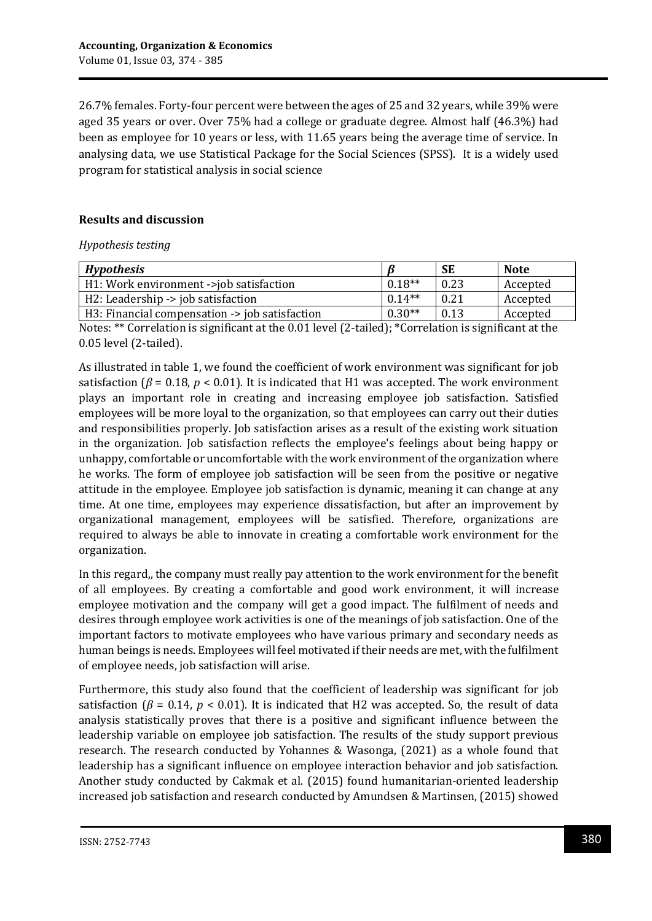26.7% females. Forty-four percent were between the ages of 25 and 32 years, while 39% were aged 35 years or over. Over 75% had a college or graduate degree. Almost half (46.3%) had been as employee for 10 years or less, with 11.65 years being the average time of service. In analysing data, we use Statistical Package for the Social Sciences (SPSS). It is a widely used program for statistical analysis in social science

# **Results and discussion**

#### *Hypothesis testing*

| <b>Hypothesis</b>                              |          | <b>SE</b> | Note     |
|------------------------------------------------|----------|-----------|----------|
| H1: Work environment ->job satisfaction        | $0.18**$ | 0.23      | Accepted |
| H2: Leadership -> job satisfaction             | $0.14**$ | 0.21      | Accepted |
| H3: Financial compensation -> job satisfaction | $0.30**$ | 0.13      | Accepted |

Notes: \*\* Correlation is significant at the 0.01 level (2-tailed); \*Correlation is significant at the 0.05 level (2-tailed).

As illustrated in table 1, we found the coefficient of work environment was significant for job satisfaction ( $\beta$  = 0.18,  $p$  < 0.01). It is indicated that H1 was accepted. The work environment plays an important role in creating and increasing employee job satisfaction. Satisfied employees will be more loyal to the organization, so that employees can carry out their duties and responsibilities properly. Job satisfaction arises as a result of the existing work situation in the organization. Job satisfaction reflects the employee's feelings about being happy or unhappy, comfortable or uncomfortable with the work environment of the organization where he works. The form of employee job satisfaction will be seen from the positive or negative attitude in the employee. Employee job satisfaction is dynamic, meaning it can change at any time. At one time, employees may experience dissatisfaction, but after an improvement by organizational management, employees will be satisfied. Therefore, organizations are required to always be able to innovate in creating a comfortable work environment for the organization.

In this regard,, the company must really pay attention to the work environment for the benefit of all employees. By creating a comfortable and good work environment, it will increase employee motivation and the company will get a good impact. The fulfilment of needs and desires through employee work activities is one of the meanings of job satisfaction. One of the important factors to motivate employees who have various primary and secondary needs as human beings is needs. Employees will feel motivated if their needs are met, with the fulfilment of employee needs, job satisfaction will arise.

Furthermore, this study also found that the coefficient of leadership was significant for job satisfaction ( $\beta$  = 0.14,  $p$  < 0.01). It is indicated that H2 was accepted. So, the result of data analysis statistically proves that there is a positive and significant influence between the leadership variable on employee job satisfaction. The results of the study support previous research. The research conducted by Yohannes & Wasonga, (2021) as a whole found that leadership has a significant influence on employee interaction behavior and job satisfaction. Another study conducted by Cakmak et al. (2015) found humanitarian-oriented leadership increased job satisfaction and research conducted by Amundsen & Martinsen, (2015) showed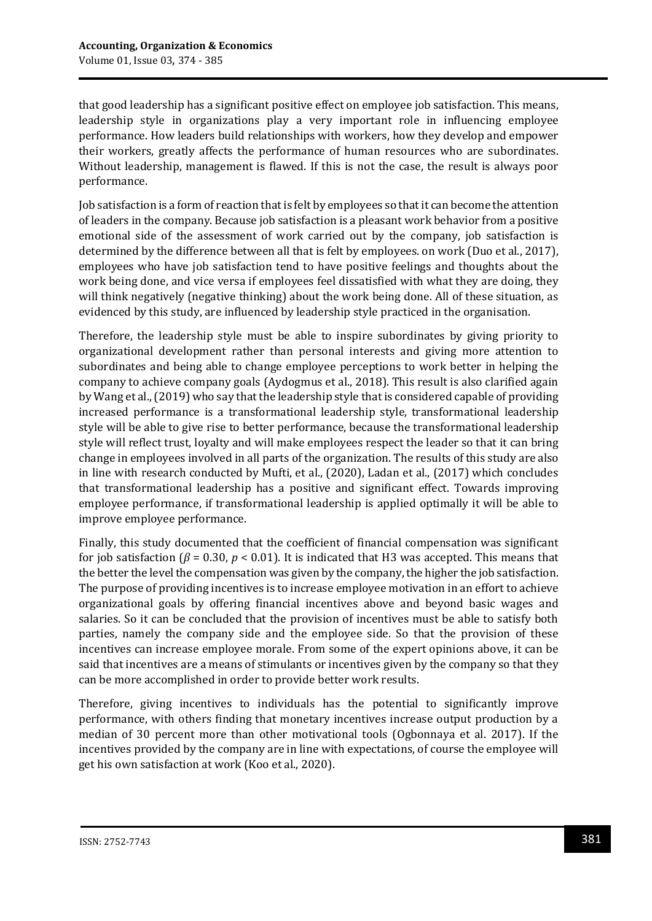that good leadership has a significant positive effect on employee job satisfaction. This means, leadership style in organizations play a very important role in influencing employee performance. How leaders build relationships with workers, how they develop and empower their workers, greatly affects the performance of human resources who are subordinates. Without leadership, management is flawed. If this is not the case, the result is always poor performance.

Job satisfaction is a form of reaction that is felt by employees so that it can become the attention of leaders in the company. Because job satisfaction is a pleasant work behavior from a positive emotional side of the assessment of work carried out by the company, job satisfaction is determined by the difference between all that is felt by employees. on work (Duo et al., 2017), employees who have job satisfaction tend to have positive feelings and thoughts about the work being done, and vice versa if employees feel dissatisfied with what they are doing, they will think negatively (negative thinking) about the work being done. All of these situation, as evidenced by this study, are influenced by leadership style practiced in the organisation.

Therefore, the leadership style must be able to inspire subordinates by giving priority to organizational development rather than personal interests and giving more attention to subordinates and being able to change employee perceptions to work better in helping the company to achieve company goals (Aydogmus et al., 2018). This result is also clarified again by Wang et al., (2019) who say that the leadership style that is considered capable of providing increased performance is a transformational leadership style, transformational leadership style will be able to give rise to better performance, because the transformational leadership style will reflect trust, loyalty and will make employees respect the leader so that it can bring change in employees involved in all parts of the organization. The results of this study are also in line with research conducted by Mufti, et al., (2020), Ladan et al., (2017) which concludes that transformational leadership has a positive and significant effect. Towards improving employee performance, if transformational leadership is applied optimally it will be able to improve employee performance.

Finally, this study documented that the coefficient of financial compensation was significant for job satisfaction (*β* = 0.30, *p* < 0.01). It is indicated that H3 was accepted. This means that the better the level the compensation was given by the company, the higher the job satisfaction. The purpose of providing incentives is to increase employee motivation in an effort to achieve organizational goals by offering financial incentives above and beyond basic wages and salaries. So it can be concluded that the provision of incentives must be able to satisfy both parties, namely the company side and the employee side. So that the provision of these incentives can increase employee morale. From some of the expert opinions above, it can be said that incentives are a means of stimulants or incentives given by the company so that they can be more accomplished in order to provide better work results.

Therefore, giving incentives to individuals has the potential to significantly improve performance, with others finding that monetary incentives increase output production by a median of 30 percent more than other motivational tools (Ogbonnaya et al. 2017). If the incentives provided by the company are in line with expectations, of course the employee will get his own satisfaction at work (Koo et al., 2020).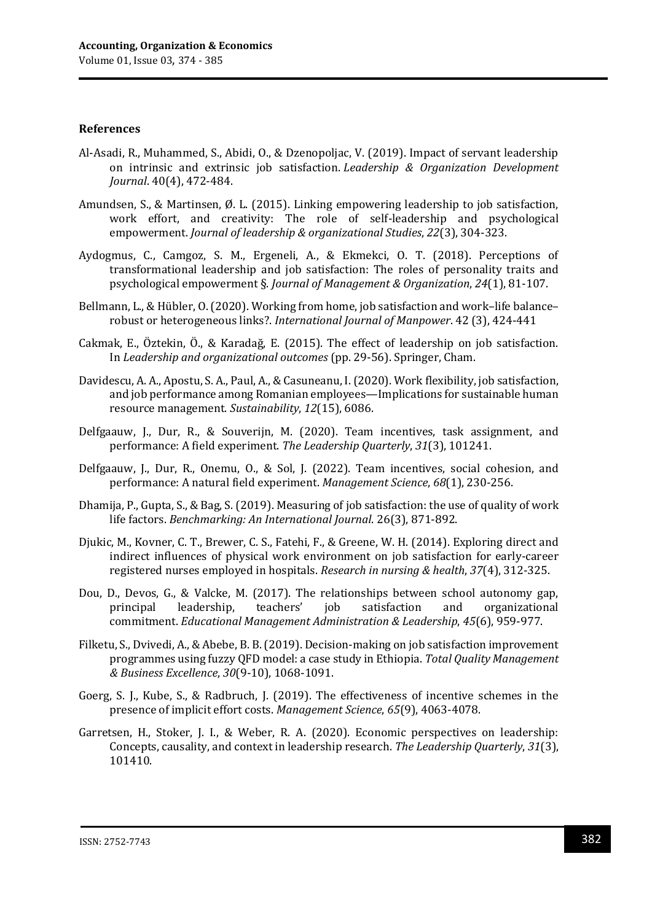#### **References**

- Al-Asadi, R., Muhammed, S., Abidi, O., & Dzenopoljac, V. (2019). Impact of servant leadership on intrinsic and extrinsic job satisfaction. *Leadership & Organization Development Journal*. 40(4), 472-484.
- Amundsen, S., & Martinsen, Ø. L. (2015). Linking empowering leadership to job satisfaction, work effort, and creativity: The role of self-leadership and psychological empowerment. *Journal of leadership & organizational Studies*, *22*(3), 304-323.
- Aydogmus, C., Camgoz, S. M., Ergeneli, A., & Ekmekci, O. T. (2018). Perceptions of transformational leadership and job satisfaction: The roles of personality traits and psychological empowerment §. *Journal of Management & Organization*, *24*(1), 81-107.
- Bellmann, L., & Hübler, O. (2020). Working from home, job satisfaction and work–life balance– robust or heterogeneous links?. *International Journal of Manpower*. 42 (3), 424-441
- Cakmak, E., Öztekin, Ö., & Karadağ, E. (2015). The effect of leadership on job satisfaction. In *Leadership and organizational outcomes* (pp. 29-56). Springer, Cham.
- Davidescu, A. A., Apostu, S. A., Paul, A., & Casuneanu, I. (2020). Work flexibility, job satisfaction, and job performance among Romanian employees—Implications for sustainable human resource management. *Sustainability*, *12*(15), 6086.
- Delfgaauw, J., Dur, R., & Souverijn, M. (2020). Team incentives, task assignment, and performance: A field experiment. *The Leadership Quarterly*, *31*(3), 101241.
- Delfgaauw, J., Dur, R., Onemu, O., & Sol, J. (2022). Team incentives, social cohesion, and performance: A natural field experiment. *Management Science*, *68*(1), 230-256.
- Dhamija, P., Gupta, S., & Bag, S. (2019). Measuring of job satisfaction: the use of quality of work life factors. *Benchmarking: An International Journal*. 26(3), 871-892.
- Djukic, M., Kovner, C. T., Brewer, C. S., Fatehi, F., & Greene, W. H. (2014). Exploring direct and indirect influences of physical work environment on job satisfaction for early‐career registered nurses employed in hospitals. *Research in nursing & health*, *37*(4), 312-325.
- Dou, D., Devos, G., & Valcke, M. (2017). The relationships between school autonomy gap, principal leadership, teachers' job satisfaction and organizational commitment. *Educational Management Administration & Leadership*, *45*(6), 959-977.
- Filketu, S., Dvivedi, A., & Abebe, B. B. (2019). Decision-making on job satisfaction improvement programmes using fuzzy QFD model: a case study in Ethiopia. *Total Quality Management & Business Excellence*, *30*(9-10), 1068-1091.
- Goerg, S. J., Kube, S., & Radbruch, J. (2019). The effectiveness of incentive schemes in the presence of implicit effort costs. *Management Science*, *65*(9), 4063-4078.
- Garretsen, H., Stoker, J. I., & Weber, R. A. (2020). Economic perspectives on leadership: Concepts, causality, and context in leadership research. *The Leadership Quarterly*, *31*(3), 101410.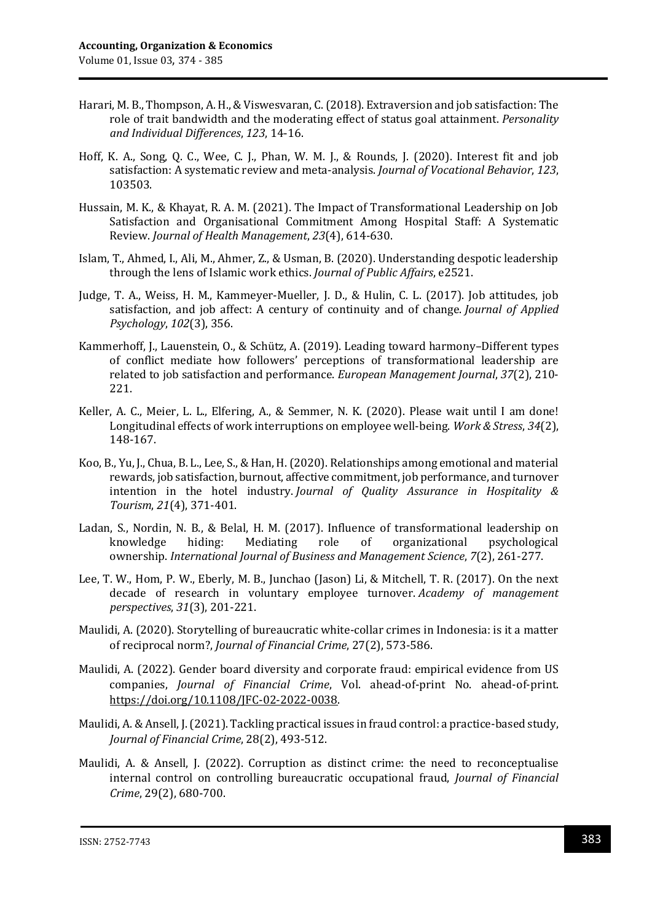- Harari, M. B., Thompson, A. H., & Viswesvaran, C. (2018). Extraversion and job satisfaction: The role of trait bandwidth and the moderating effect of status goal attainment. *Personality and Individual Differences*, *123*, 14-16.
- Hoff, K. A., Song, Q. C., Wee, C. J., Phan, W. M. J., & Rounds, J. (2020). Interest fit and job satisfaction: A systematic review and meta-analysis. *Journal of Vocational Behavior*, *123*, 103503.
- Hussain, M. K., & Khayat, R. A. M. (2021). The Impact of Transformational Leadership on Job Satisfaction and Organisational Commitment Among Hospital Staff: A Systematic Review. *Journal of Health Management*, *23*(4), 614-630.
- Islam, T., Ahmed, I., Ali, M., Ahmer, Z., & Usman, B. (2020). Understanding despotic leadership through the lens of Islamic work ethics. *Journal of Public Affairs*, e2521.
- Judge, T. A., Weiss, H. M., Kammeyer-Mueller, J. D., & Hulin, C. L. (2017). Job attitudes, job satisfaction, and job affect: A century of continuity and of change. *Journal of Applied Psychology*, *102*(3), 356.
- Kammerhoff, J., Lauenstein, O., & Schütz, A. (2019). Leading toward harmony–Different types of conflict mediate how followers' perceptions of transformational leadership are related to job satisfaction and performance. *European Management Journal*, *37*(2), 210- 221.
- Keller, A. C., Meier, L. L., Elfering, A., & Semmer, N. K. (2020). Please wait until I am done! Longitudinal effects of work interruptions on employee well-being. *Work & Stress*, *34*(2), 148-167.
- Koo, B., Yu, J., Chua, B. L., Lee, S., & Han, H. (2020). Relationships among emotional and material rewards, job satisfaction, burnout, affective commitment, job performance, and turnover intention in the hotel industry. *Journal of Quality Assurance in Hospitality & Tourism*, *21*(4), 371-401.
- Ladan, S., Nordin, N. B., & Belal, H. M. (2017). Influence of transformational leadership on knowledge hiding: Mediating role of organizational psychological ownership. *International Journal of Business and Management Science*, *7*(2), 261-277.
- Lee, T. W., Hom, P. W., Eberly, M. B., Junchao (Jason) Li, & Mitchell, T. R. (2017). On the next decade of research in voluntary employee turnover. *Academy of management perspectives*, *31*(3), 201-221.
- Maulidi, A. (2020). Storytelling of bureaucratic white-collar crimes in Indonesia: is it a matter of reciprocal norm?, *Journal of Financial Crime*, 27(2), 573-586.
- Maulidi, A. (2022). Gender board diversity and corporate fraud: empirical evidence from US companies, *Journal of Financial Crime*, Vol. ahead-of-print No. ahead-of-print. [https://doi.org/10.1108/JFC-02-2022-0038.](https://doi.org/10.1108/JFC-02-2022-0038)
- Maulidi, A. & Ansell, J. (2021). Tackling practical issues in fraud control: a practice-based study, *Journal of Financial Crime*, 28(2), 493-512.
- Maulidi, A. & Ansell, J. (2022). Corruption as distinct crime: the need to reconceptualise internal control on controlling bureaucratic occupational fraud, *Journal of Financial Crime*, 29(2), 680-700.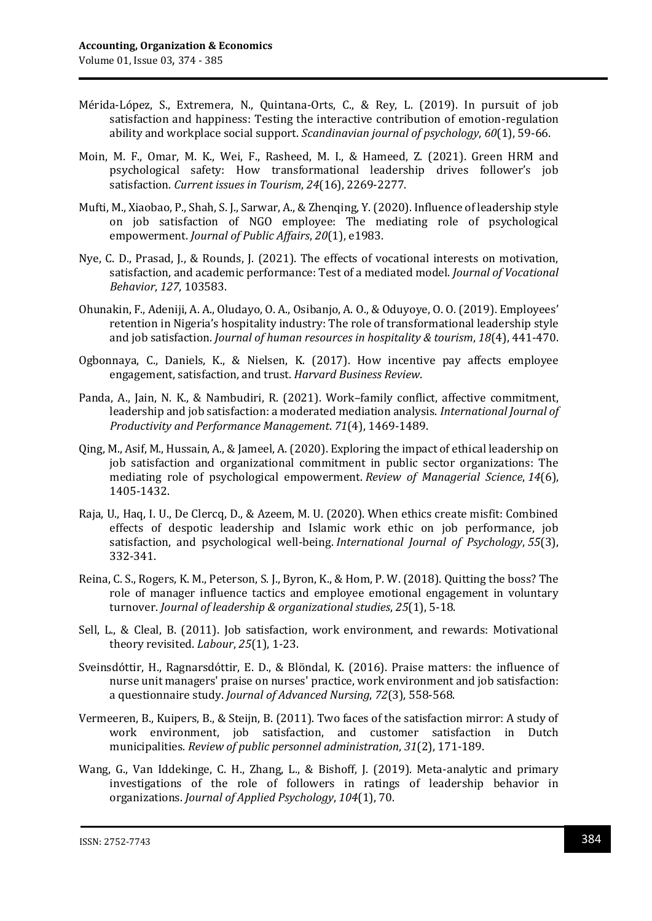- Mérida‐López, S., Extremera, N., Quintana‐Orts, C., & Rey, L. (2019). In pursuit of job satisfaction and happiness: Testing the interactive contribution of emotion‐regulation ability and workplace social support. *Scandinavian journal of psychology*, *60*(1), 59-66.
- Moin, M. F., Omar, M. K., Wei, F., Rasheed, M. I., & Hameed, Z. (2021). Green HRM and psychological safety: How transformational leadership drives follower's job satisfaction. *Current issues in Tourism*, *24*(16), 2269-2277.
- Mufti, M., Xiaobao, P., Shah, S. J., Sarwar, A., & Zhenqing, Y. (2020). Influence of leadership style on job satisfaction of NGO employee: The mediating role of psychological empowerment. *Journal of Public Affairs*, *20*(1), e1983.
- Nye, C. D., Prasad, J., & Rounds, J. (2021). The effects of vocational interests on motivation, satisfaction, and academic performance: Test of a mediated model. *Journal of Vocational Behavior*, *127*, 103583.
- Ohunakin, F., Adeniji, A. A., Oludayo, O. A., Osibanjo, A. O., & Oduyoye, O. O. (2019). Employees' retention in Nigeria's hospitality industry: The role of transformational leadership style and job satisfaction. *Journal of human resources in hospitality & tourism*, *18*(4), 441-470.
- Ogbonnaya, C., Daniels, K., & Nielsen, K. (2017). How incentive pay affects employee engagement, satisfaction, and trust. *Harvard Business Review*.
- Panda, A., Jain, N. K., & Nambudiri, R. (2021). Work–family conflict, affective commitment, leadership and job satisfaction: a moderated mediation analysis. *International Journal of Productivity and Performance Management*. *71*(4), 1469-1489.
- Qing, M., Asif, M., Hussain, A., & Jameel, A. (2020). Exploring the impact of ethical leadership on job satisfaction and organizational commitment in public sector organizations: The mediating role of psychological empowerment. *Review of Managerial Science*, *14*(6), 1405-1432.
- Raja, U., Haq, I. U., De Clercq, D., & Azeem, M. U. (2020). When ethics create misfit: Combined effects of despotic leadership and Islamic work ethic on job performance, job satisfaction, and psychological well‐being. *International Journal of Psychology*, *55*(3), 332-341.
- Reina, C. S., Rogers, K. M., Peterson, S. J., Byron, K., & Hom, P. W. (2018). Quitting the boss? The role of manager influence tactics and employee emotional engagement in voluntary turnover. *Journal of leadership & organizational studies*, *25*(1), 5-18.
- Sell, L., & Cleal, B. (2011). Job satisfaction, work environment, and rewards: Motivational theory revisited. *Labour*, *25*(1), 1-23.
- Sveinsdóttir, H., Ragnarsdóttir, E. D., & Blöndal, K. (2016). Praise matters: the influence of nurse unit managers' praise on nurses' practice, work environment and job satisfaction: a questionnaire study. *Journal of Advanced Nursing*, *72*(3), 558-568.
- Vermeeren, B., Kuipers, B., & Steijn, B. (2011). Two faces of the satisfaction mirror: A study of work environment, job satisfaction, and customer satisfaction in Dutch municipalities. *Review of public personnel administration*, *31*(2), 171-189.
- Wang, G., Van Iddekinge, C. H., Zhang, L., & Bishoff, J. (2019). Meta-analytic and primary investigations of the role of followers in ratings of leadership behavior in organizations. *Journal of Applied Psychology*, *104*(1), 70.